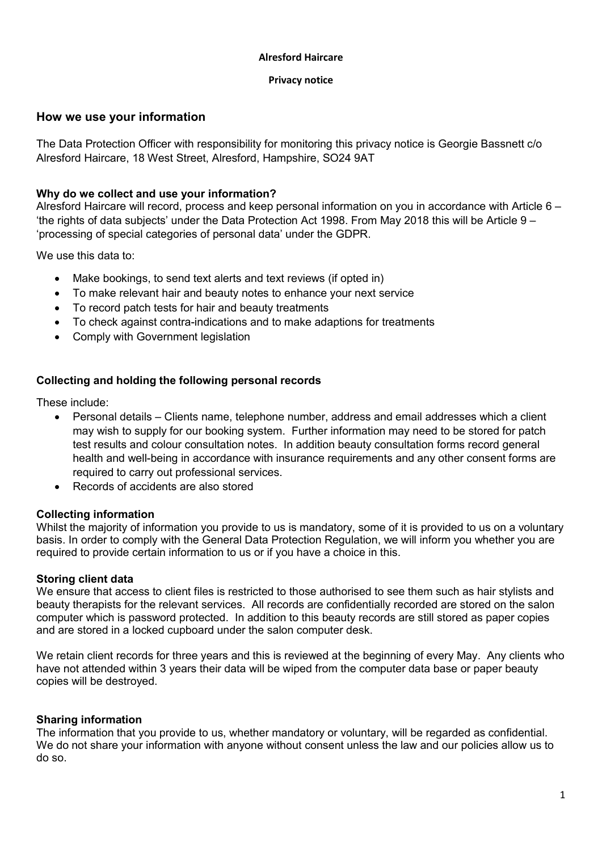#### Alresford Haircare

#### Privacy notice

# How we use your information

The Data Protection Officer with responsibility for monitoring this privacy notice is Georgie Bassnett c/o Alresford Haircare, 18 West Street, Alresford, Hampshire, SO24 9AT

## Why do we collect and use your information?

Alresford Haircare will record, process and keep personal information on you in accordance with Article 6 – 'the rights of data subjects' under the Data Protection Act 1998. From May 2018 this will be Article 9 – 'processing of special categories of personal data' under the GDPR.

We use this data to:

- Make bookings, to send text alerts and text reviews (if opted in)
- To make relevant hair and beauty notes to enhance your next service
- To record patch tests for hair and beauty treatments
- To check against contra-indications and to make adaptions for treatments
- Comply with Government legislation

## Collecting and holding the following personal records

These include:

- Personal details Clients name, telephone number, address and email addresses which a client may wish to supply for our booking system. Further information may need to be stored for patch test results and colour consultation notes. In addition beauty consultation forms record general health and well-being in accordance with insurance requirements and any other consent forms are required to carry out professional services.
- Records of accidents are also stored

### Collecting information

Whilst the majority of information you provide to us is mandatory, some of it is provided to us on a voluntary basis. In order to comply with the General Data Protection Regulation, we will inform you whether you are required to provide certain information to us or if you have a choice in this.

### Storing client data

We ensure that access to client files is restricted to those authorised to see them such as hair stylists and beauty therapists for the relevant services. All records are confidentially recorded are stored on the salon computer which is password protected. In addition to this beauty records are still stored as paper copies and are stored in a locked cupboard under the salon computer desk.

We retain client records for three years and this is reviewed at the beginning of every May. Any clients who have not attended within 3 years their data will be wiped from the computer data base or paper beauty copies will be destroyed.

### Sharing information

The information that you provide to us, whether mandatory or voluntary, will be regarded as confidential. We do not share your information with anyone without consent unless the law and our policies allow us to do so.